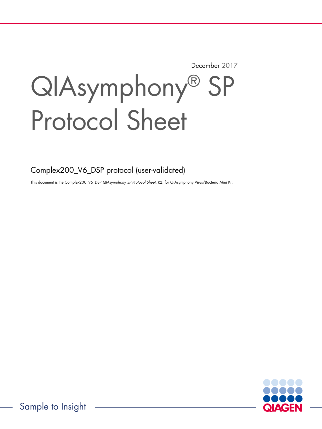December 2017

# QIAsymphony® SP Protocol Sheet

Complex200\_V6\_DSP protocol (user-validated)

This document is the Complex200\_V6\_DSP QIAsymphony SP Protocol Sheet, R2, for QIAsymphony Virus/Bacteria Mini Kit.

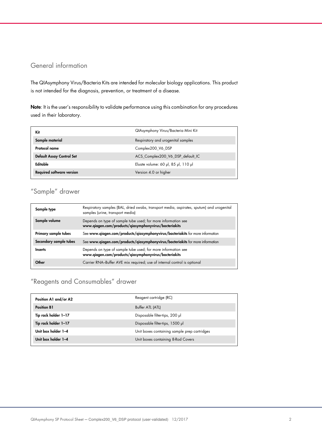## General information

The QIAsymphony Virus/Bacteria Kits are intended for molecular biology applications. This product is not intended for the diagnosis, prevention, or treatment of a disease.

Note: It is the user's responsibility to validate performance using this combination for any procedures used in their laboratory.

| Kit                              | QIAsymphony Virus/Bacteria Mini Kit |
|----------------------------------|-------------------------------------|
| Sample material                  | Respiratory and urogenital samples  |
| Protocol name                    | Complex200 V6 DSP                   |
| <b>Default Assay Control Set</b> | ACS_Complex200_V6_DSP_default_IC    |
| Editable                         | Eluate volume: 60 µl, 85 µl, 110 µl |
| <b>Required software version</b> | Version 4.0 or higher               |

# "Sample" drawer

| Sample type            | Respiratory samples (BAL, dried swabs, transport media, aspirates, sputum) and urogenital<br>samples (urine, transport media) |
|------------------------|-------------------------------------------------------------------------------------------------------------------------------|
| Sample volume          | Depends on type of sample tube used; for more information see<br>www.qiagen.com/products/qiasymphonyvirus/bacteriakits        |
| Primary sample tubes   | See www.qiagen.com/products/qiasymphonyvirus/bacteriakits for more information                                                |
| Secondary sample tubes | See www.qiagen.com/products/qiasymphonyvirus/bacteriakits for more information                                                |
| <b>Inserts</b>         | Depends on type of sample tube used; for more information see<br>www.qiagen.com/products/qiasymphonyvirus/bacteriakits        |
| Other                  | Carrier RNA-Buffer AVE mix required; use of internal control is optional                                                      |

# "Reagents and Consumables" drawer

| Position A1 and/or A2 | Reagent cartridge (RC)                       |
|-----------------------|----------------------------------------------|
| <b>Position B1</b>    | Buffer ATL (ATL)                             |
| Tip rack holder 1-17  | Disposable filter-tips, 200 µl               |
| Tip rack holder 1-17  | Disposable filter-tips, 1500 µl              |
| Unit box holder 1-4   | Unit boxes containing sample prep cartridges |
| Unit box holder 1-4   | Unit boxes containing 8-Rod Covers           |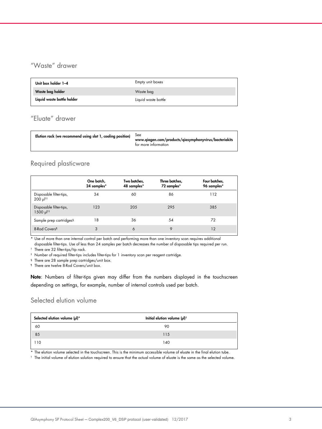# "Waste" drawer

| Unit box holder 1-4        | Empty unit boxes    |
|----------------------------|---------------------|
| Waste bag holder           | Waste bag           |
| Liquid waste bottle holder | Liquid waste bottle |

# "Eluate" drawer

| Elution rack (we recommend using slot 1, cooling position) | <b>See</b><br>www.qiagen.com/products/qiasymphonyvirus/bacteriakits<br>for more information |
|------------------------------------------------------------|---------------------------------------------------------------------------------------------|
|------------------------------------------------------------|---------------------------------------------------------------------------------------------|

## Required plasticware

|                                                    | One batch,<br>24 samples* | Two batches,<br>48 samples* | Three batches,<br>72 samples* | Four batches,<br>96 samples* |
|----------------------------------------------------|---------------------------|-----------------------------|-------------------------------|------------------------------|
| Disposable filter-tips,<br>$200 \mu$ <sup>††</sup> | 34                        | 60                          | 86                            | 112                          |
| Disposable filter-tips,<br>1500 µ  <sup>†‡</sup>   | 123                       | 205                         | 295                           | 385                          |
| Sample prep cartridges <sup>§</sup>                | 18                        | 36                          | 54                            | 72                           |
| 8-Rod Covers <sup>1</sup>                          | 3                         | 6                           | 9                             | 12                           |

\* Use of more than one internal control per batch and performing more than one inventory scan requires additional

disposable filter-tips. Use of less than 24 samples per batch decreases the number of disposable tips required per run.

† There are 32 filter-tips/tip rack.

‡ Number of required filter-tips includes filter-tips for 1 inventory scan per reagent cartridge.

§ There are 28 sample prep cartridges/unit box.

¶ There are twelve 8-Rod Covers/unit box.

Note: Numbers of filter-tips given may differ from the numbers displayed in the touchscreen depending on settings, for example, number of internal controls used per batch.

## Selected elution volume

| Selected elution volume (µl)* | Initial elution volume $(\mu I)^{\dagger}$ |  |
|-------------------------------|--------------------------------------------|--|
| 60                            | 90                                         |  |
| 85                            | 115                                        |  |
| 110                           | 140                                        |  |

\* The elution volume selected in the touchscreen. This is the minimum accessible volume of eluate in the final elution tube.

† The initial volume of elution solution required to ensure that the actual volume of eluate is the same as the selected volume.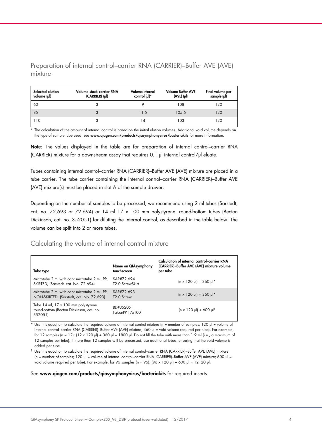Preparation of internal control–carrier RNA (CARRIER)–Buffer AVE (AVE) mixture

| Selected elution<br>volume (µl) | Volume stock carrier RNA<br>(CARRIER) (pl) | Volume internal<br>control (µl)* | <b>Volume Buffer AVE</b><br>$(AVE)$ $(µ)$ | Final volume per<br>sample (µl) |
|---------------------------------|--------------------------------------------|----------------------------------|-------------------------------------------|---------------------------------|
| 60                              |                                            |                                  | 108                                       | 120                             |
| 85                              | 3                                          | 11.5                             | 105.5                                     | 120                             |
| 110                             |                                            | 14                               | 103                                       | 120                             |

\* The calculation of the amount of internal control is based on the initial elution volumes. Additional void volume depends on the type of sample tube used; see www.qiagen.com/products/qiasymphonyvirus/bacteriakits for more information.

Note: The values displayed in the table are for preparation of internal control-carrier RNA (CARRIER) mixture for a downstream assay that requires 0.1 µl internal control/µl eluate.

Tubes containing internal control–carrier RNA (CARRIER)–Buffer AVE (AVE) mixture are placed in a tube carrier. The tube carrier containing the internal control–carrier RNA (CARRIER)–Buffer AVE (AVE) mixture(s) must be placed in slot A of the sample drawer.

Depending on the number of samples to be processed, we recommend using 2 ml tubes (Sarstedt, cat. no. 72.693 or 72.694) or 14 ml 17 x 100 mm polystyrene, round-bottom tubes (Becton Dickinson, cat. no. 352051) for diluting the internal control, as described in the table below. The volume can be split into 2 or more tubes.

## Calculating the volume of internal control mixture

| Tube type                                                                                  | Name on QIAsymphony<br>touchscreen         | Calculation of internal control-carrier RNA<br>(CARRIER)-Buffer AVE (AVE) mixture volume<br>per tube |
|--------------------------------------------------------------------------------------------|--------------------------------------------|------------------------------------------------------------------------------------------------------|
| Microtube 2 ml with cap; microtube 2 ml, PP,<br>SKIRTED, (Sarstedt, cat. No. 72.694)       | SAR#72.694<br>T <sub>2</sub> .0 ScrewSkirt | $(n \times 120 \text{ pl}) + 360 \text{ pl}^*$                                                       |
| Microtube 2 ml with cap; microtube 2 ml, PP,<br>NON-SKIRTED, (Sarstedt, cat. No. 72.693)   | SAR#72 693<br>T <sub>2.0</sub> Screw       | $(n \times 120 \text{ pl}) + 360 \text{ pl}^*$                                                       |
| Tube 14 ml, 17 x 100 mm polystyrene<br>round-bottom (Becton Dickinson, cat. no.<br>352051) | BD#352051<br>FalconPP 17x100               | $\ln x$ 120 µl) + 600 µl <sup>†</sup>                                                                |

Use this equation to calculate the required volume of internal control mixture (n = number of samples; 120  $\mu$  = volume of internal control–carrier RNA (CARRIER)–Buffer AVE (AVE) mixture; 360 µl = void volume required per tube). For example, for 12 samples (n = 12):  $(12 \times 120 \text{ µ}) + 360 \text{ µ}$  = 1800  $\text{µ}$ . Do not fill the tube with more than 1.9 ml (i.e., a maximum of 12 samples per tube). If more than 12 samples will be processed, use additional tubes, ensuring that the void volume is added per tube.

 $^\dagger$  Use this equation to calculate the required volume of internal control–carrier RNA (CARRIER)–Buffer AVE (AVE) mixture (n = number of samples; 120 µl = volume of internal control-carrier RNA (CARRIER)-Buffer AVE (AVE) mixture; 600 µl = void volume required per tube). For example, for 96 samples (n = 96):  $(96 \times 120 \text{ pl}) + 600 \text{ pl} = 12120 \text{ pl}$ .

#### See www.qiagen.com/products/qiasymphonyvirus/bacteriakits for required inserts.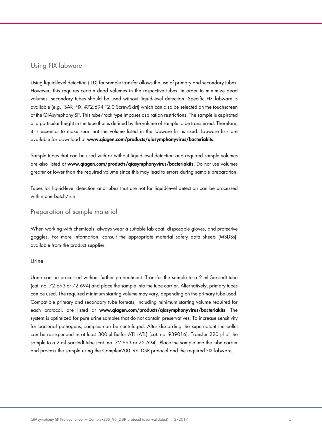## Using FIX labware

Using liquid-level detection (LLD) for sample transfer allows the use of primary and secondary tubes. However, this requires certain dead volumes in the respective tubes. In order to minimize dead volumes, secondary tubes should be used without liquid-level detection. Specific FIX labware is available (e.g., SAR\_FIX\_#72.694 T2.0 ScrewSkirt) which can also be selected on the touchscreen of the QIAsymphony SP. This tube/rack type imposes aspiration restrictions. The sample is aspirated at a particular height in the tube that is defined by the volume of sample to be transferred. Therefore, it is essential to make sure that the volume listed in the labware list is used. Labware lists are available for download at www.qiagen.com/products/qiasymphonyvirus/bacteriakits.

Sample tubes that can be used with or without liquid-level detection and required sample volumes are also listed at www.qiagen.com/products/qiasymphonyvirus/bacteriakits. Do not use volumes greater or lower than the required volume since this may lead to errors during sample preparation.

Tubes for liquid-level detection and tubes that are not for liquid-level detection can be processed within one batch/run.

## Preparation of sample material

When working with chemicals, always wear a suitable lab coat, disposable gloves, and protective goggles. For more information, consult the appropriate material safety data sheets (MSDSs), available from the product supplier.

### Urine

Urine can be processed without further pretreatment. Transfer the sample to a 2 ml Sarstedt tube (cat. no. 72.693 or 72.694) and place the sample into the tube carrier. Alternatively, primary tubes can be used. The required minimum starting volume may vary, depending on the primary tube used. Compatible primary and secondary tube formats, including minimum starting volume required for each protocol, are listed at www.qiagen.com/products/qiasymphonyvirus/bacteriakits. The system is optimized for pure urine samples that do not contain preservatives. To increase sensitivity for bacterial pathogens, samples can be centrifuged. After discarding the supernatant the pellet can be resuspended in at least 300 µl Buffer ATL (ATL) (cat. no. 939016). Transfer 220 µl of the sample to a 2 ml Sarstedt tube (cat. no. 72.693 or 72.694). Place the sample into the tube carrier and process the sample using the Complex200\_V6\_DSP protocol and the required FIX labware.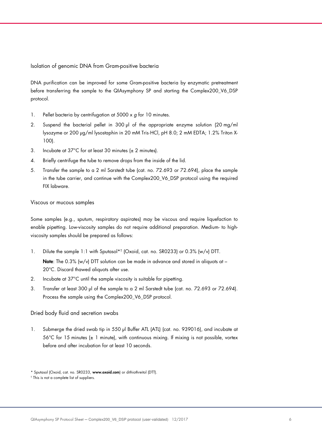Isolation of genomic DNA from Gram-positive bacteria

DNA purification can be improved for some Gram-positive bacteria by enzymatic pretreatment before transferring the sample to the QIAsymphony SP and starting the Complex200\_V6\_DSP protocol.

- 1. Pellet bacteria by centrifugation at  $5000 \times g$  for 10 minutes.
- 2. Suspend the bacterial pellet in 300 µl of the appropriate enzyme solution (20 mg/ml lysozyme or 200 µg/ml lysostaphin in 20 mM Tris·HCl, pH 8.0; 2 mM EDTA; 1.2% Triton X-100).
- 3. Incubate at 37°C for at least 30 minutes (± 2 minutes).
- 4. Briefly centrifuge the tube to remove drops from the inside of the lid.
- 5. Transfer the sample to a 2 ml Sarstedt tube (cat. no. 72.693 or 72.694), place the sample in the tube carrier, and continue with the Complex200\_V6\_DSP protocol using the required FIX labware.

Viscous or mucous samples

Some samples (e.g., sputum, respiratory aspirates) may be viscous and require liquefaction to enable pipetting. Low-viscosity samples do not require additional preparation. Medium- to highviscosity samples should be prepared as follows:

- 1. Dilute the sample 1:1 with Sputasol\*† (Oxoid, cat. no. SR0233) or 0.3% (w/v) DTT. **Note:** The 0.3% (w/v) DTT solution can be made in advance and stored in aliquots at  $-$ 20°C. Discard thawed aliquots after use.
- 2. Incubate at 37°C until the sample viscosity is suitable for pipetting.
- 3. Transfer at least 300 µl of the sample to a 2 ml Sarstedt tube (cat. no. 72.693 or 72.694). Process the sample using the Complex200\_V6\_DSP protocol.

#### Dried body fluid and secretion swabs

1. Submerge the dried swab tip in 550 µl Buffer ATL (ATL) (cat. no. 939016), and incubate at  $56^{\circ}$ C for 15 minutes ( $\pm$  1 minute), with continuous mixing. If mixing is not possible, vortex before and after incubation for at least 10 seconds.

<sup>\*</sup> Sputasol (Oxoid, cat. no. SR0233, www.oxoid.com) or dithiothreitol (DTT).

<sup>†</sup> This is not a complete list of suppliers.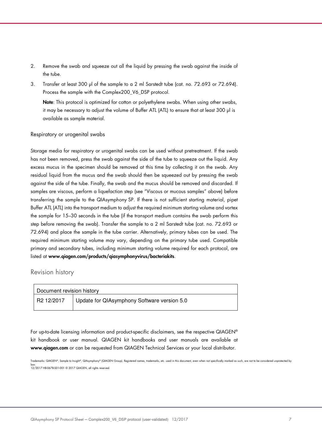- 2. Remove the swab and squeeze out all the liquid by pressing the swab against the inside of the tube.
- 3. Transfer at least 300 µl of the sample to a 2 ml Sarstedt tube (cat. no. 72.693 or 72.694). Process the sample with the Complex200\_V6\_DSP protocol.

Note: This protocol is optimized for cotton or polyethylene swabs. When using other swabs, it may be necessary to adjust the volume of Buffer ATL (ATL) to ensure that at least 300 µl is available as sample material.

#### Respiratory or urogenital swabs

Storage media for respiratory or urogenital swabs can be used without pretreatment. If the swab has not been removed, press the swab against the side of the tube to squeeze out the liquid. Any excess mucus in the specimen should be removed at this time by collecting it on the swab. Any residual liquid from the mucus and the swab should then be squeezed out by pressing the swab against the side of the tube. Finally, the swab and the mucus should be removed and discarded. If samples are viscous, perform a liquefaction step (see "Viscous or mucous samples" above) before transferring the sample to the QIAsymphony SP. If there is not sufficient starting material, pipet Buffer ATL (ATL) into the transport medium to adjust the required minimum starting volume and vortex the sample for 15–30 seconds in the tube (if the transport medium contains the swab perform this step before removing the swab). Transfer the sample to a 2 ml Sarstedt tube (cat. no. 72.693 or 72.694) and place the sample in the tube carrier. Alternatively, primary tubes can be used. The required minimum starting volume may vary, depending on the primary tube used. Compatible primary and secondary tubes, including minimum starting volume required for each protocol, are listed at www.qiagen.com/products/qiasymphonyvirus/bacteriakits.

## Revision history

| Document revision history |                                                          |  |  |
|---------------------------|----------------------------------------------------------|--|--|
|                           | R2 12/2017   Update for QIAsymphony Software version 5.0 |  |  |

For up-to-date licensing information and product-specific disclaimers, see the respective QIAGEN® kit handbook or user manual. QIAGEN kit handbooks and user manuals are available at www.qiagen.com or can be requested from QIAGEN Technical Services or your local distributor.

Trademarks: QIAGEN®, Sample to Insight®, QIAsymphony® (QIAGEN Group). Registered names, trademarks, etc. used in this document, even when not specifically marked as such, are not to be considered unprotected by law. 12/2017 HB-0678-S01-001 © 2017 QIAGEN, all rights reserved.